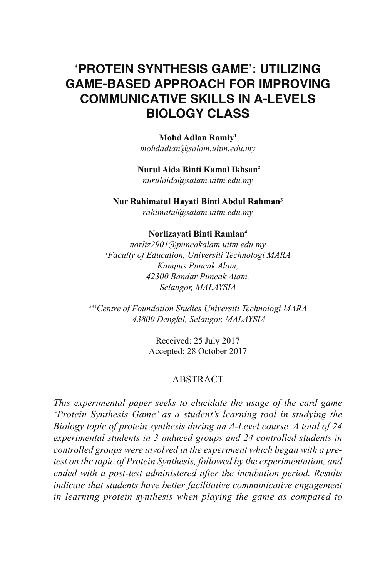# **'PROTEIN SYNTHESIS GAME': UTILIZING GAME-BASED APPROACH FOR IMPROVING COMMUNICATIVE SKILLS IN A-LEVELS BIOLOGY CLASS**

**Mohd Adlan Ramly1** *mohdadlan@salam.uitm.edu.my*

### **Nurul Aida Binti Kamal Ikhsan2**

*nurulaida@salam.uitm.edu.my*

**Nur Rahimatul Hayati Binti Abdul Rahman3**

*rahimatul@salam.uitm.edu.my*

#### **Norlizayati Binti Ramlan4**

*norliz2901@puncakalam.uitm.edu.my 1 Faculty of Education, Universiti Technologi MARA Kampus Puncak Alam, 42300 Bandar Puncak Alam, Selangor, MALAYSIA*

*234Centre of Foundation Studies Universiti Technologi MARA 43800 Dengkil, Selangor, MALAYSIA*

> Received: 25 July 2017 Accepted: 28 October 2017

### ABSTRACT

*This experimental paper seeks to elucidate the usage of the card game 'Protein Synthesis Game' as a student's learning tool in studying the Biology topic of protein synthesis during an A-Level course. A total of 24 experimental students in 3 induced groups and 24 controlled students in controlled groups were involved in the experiment which began with a pretest on the topic of Protein Synthesis, followed by the experimentation, and ended with a post-test administered after the incubation period. Results indicate that students have better facilitative communicative engagement in learning protein synthesis when playing the game as compared to*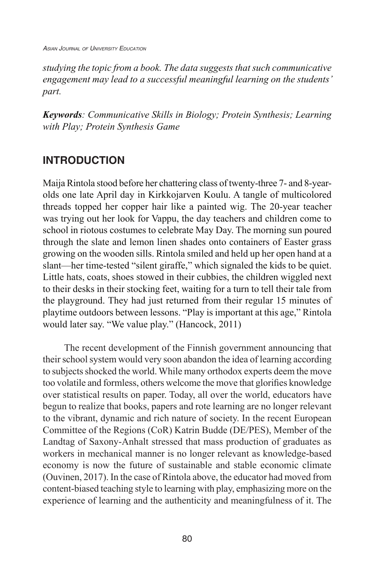*Asian Journal of University Education*

*studying the topic from a book. The data suggests that such communicative engagement may lead to a successful meaningful learning on the students' part.*

*Keywords: Communicative Skills in Biology; Protein Synthesis; Learning with Play; Protein Synthesis Game*

# **INTRODUCTION**

Maija Rintola stood before her chattering class of twenty-three 7- and 8-yearolds one late April day in Kirkkojarven Koulu. A tangle of multicolored threads topped her copper hair like a painted wig. The 20-year teacher was trying out her look for Vappu, the day teachers and children come to school in riotous costumes to celebrate May Day. The morning sun poured through the slate and lemon linen shades onto containers of Easter grass growing on the wooden sills. Rintola smiled and held up her open hand at a slant—her time-tested "silent giraffe," which signaled the kids to be quiet. Little hats, coats, shoes stowed in their cubbies, the children wiggled next to their desks in their stocking feet, waiting for a turn to tell their tale from the playground. They had just returned from their regular 15 minutes of playtime outdoors between lessons. "Play is important at this age," Rintola would later say. "We value play." (Hancock, 2011)

The recent development of the Finnish government announcing that their school system would very soon abandon the idea of learning according to subjects shocked the world. While many orthodox experts deem the move too volatile and formless, others welcome the move that glorifies knowledge over statistical results on paper. Today, all over the world, educators have begun to realize that books, papers and rote learning are no longer relevant to the vibrant, dynamic and rich nature of society. In the recent European Committee of the Regions (CoR) Katrin Budde (DE/PES), Member of the Landtag of Saxony-Anhalt stressed that mass production of graduates as workers in mechanical manner is no longer relevant as knowledge-based economy is now the future of sustainable and stable economic climate (Ouvinen, 2017). In the case of Rintola above, the educator had moved from content-biased teaching style to learning with play, emphasizing more on the experience of learning and the authenticity and meaningfulness of it. The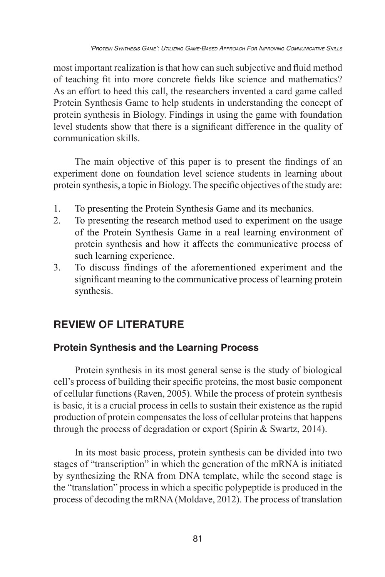most important realization is that how can such subjective and fluid method of teaching fit into more concrete fields like science and mathematics? As an effort to heed this call, the researchers invented a card game called Protein Synthesis Game to help students in understanding the concept of protein synthesis in Biology. Findings in using the game with foundation level students show that there is a significant difference in the quality of communication skills.

The main objective of this paper is to present the findings of an experiment done on foundation level science students in learning about protein synthesis, a topic in Biology. The specific objectives of the study are:

- 1. To presenting the Protein Synthesis Game and its mechanics.
- 2. To presenting the research method used to experiment on the usage of the Protein Synthesis Game in a real learning environment of protein synthesis and how it affects the communicative process of such learning experience.
- 3. To discuss findings of the aforementioned experiment and the significant meaning to the communicative process of learning protein synthesis.

# **REVIEW OF LITERATURE**

## **Protein Synthesis and the Learning Process**

Protein synthesis in its most general sense is the study of biological cell's process of building their specific proteins, the most basic component of cellular functions (Raven, 2005). While the process of protein synthesis is basic, it is a crucial process in cells to sustain their existence as the rapid production of protein compensates the loss of cellular proteins that happens through the process of degradation or export (Spirin & Swartz, 2014).

In its most basic process, protein synthesis can be divided into two stages of "transcription" in which the generation of the mRNA is initiated by synthesizing the RNA from DNA template, while the second stage is the "translation" process in which a specific polypeptide is produced in the process of decoding the mRNA (Moldave, 2012). The process of translation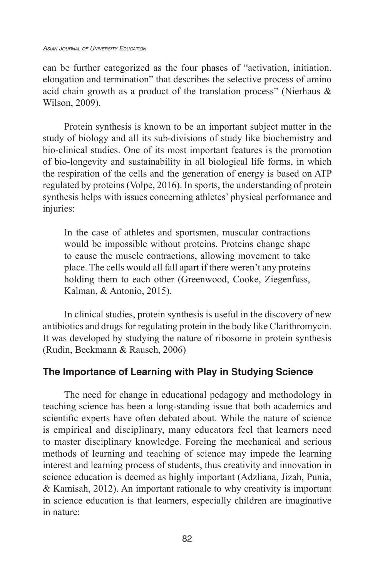can be further categorized as the four phases of "activation, initiation. elongation and termination" that describes the selective process of amino acid chain growth as a product of the translation process" (Nierhaus & Wilson, 2009).

Protein synthesis is known to be an important subject matter in the study of biology and all its sub-divisions of study like biochemistry and bio-clinical studies. One of its most important features is the promotion of bio-longevity and sustainability in all biological life forms, in which the respiration of the cells and the generation of energy is based on ATP regulated by proteins (Volpe, 2016). In sports, the understanding of protein synthesis helps with issues concerning athletes' physical performance and injuries:

In the case of athletes and sportsmen, muscular contractions would be impossible without proteins. Proteins change shape to cause the muscle contractions, allowing movement to take place. The cells would all fall apart if there weren't any proteins holding them to each other (Greenwood, Cooke, Ziegenfuss, Kalman, & Antonio, 2015).

In clinical studies, protein synthesis is useful in the discovery of new antibiotics and drugs for regulating protein in the body like Clarithromycin. It was developed by studying the nature of ribosome in protein synthesis (Rudin, Beckmann & Rausch, 2006)

## **The Importance of Learning with Play in Studying Science**

The need for change in educational pedagogy and methodology in teaching science has been a long-standing issue that both academics and scientific experts have often debated about. While the nature of science is empirical and disciplinary, many educators feel that learners need to master disciplinary knowledge. Forcing the mechanical and serious methods of learning and teaching of science may impede the learning interest and learning process of students, thus creativity and innovation in science education is deemed as highly important (Adzliana, Jizah, Punia, & Kamisah, 2012). An important rationale to why creativity is important in science education is that learners, especially children are imaginative in nature: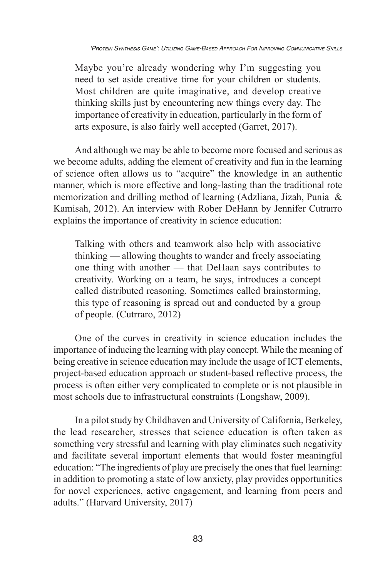Maybe you're already wondering why I'm suggesting you need to set aside creative time for your children or students. Most children are quite imaginative, and develop creative thinking skills just by encountering new things every day. The importance of creativity in education, particularly in the form of arts exposure, is also fairly well accepted (Garret, 2017).

And although we may be able to become more focused and serious as we become adults, adding the element of creativity and fun in the learning of science often allows us to "acquire" the knowledge in an authentic manner, which is more effective and long-lasting than the traditional rote memorization and drilling method of learning (Adzliana, Jizah, Punia & Kamisah, 2012). An interview with Rober DeHann by Jennifer Cutrarro explains the importance of creativity in science education:

Talking with others and teamwork also help with associative thinking — allowing thoughts to wander and freely associating one thing with another — that DeHaan says contributes to creativity. Working on a team, he says, introduces a concept called distributed reasoning. Sometimes called brainstorming, this type of reasoning is spread out and conducted by a group of people. (Cutrraro, 2012)

One of the curves in creativity in science education includes the importance of inducing the learning with play concept. While the meaning of being creative in science education may include the usage of ICT elements, project-based education approach or student-based reflective process, the process is often either very complicated to complete or is not plausible in most schools due to infrastructural constraints (Longshaw, 2009).

In a pilot study by Childhaven and University of California, Berkeley, the lead researcher, stresses that science education is often taken as something very stressful and learning with play eliminates such negativity and facilitate several important elements that would foster meaningful education: "The ingredients of play are precisely the ones that fuel learning: in addition to promoting a state of low anxiety, play provides opportunities for novel experiences, active engagement, and learning from peers and adults." (Harvard University, 2017)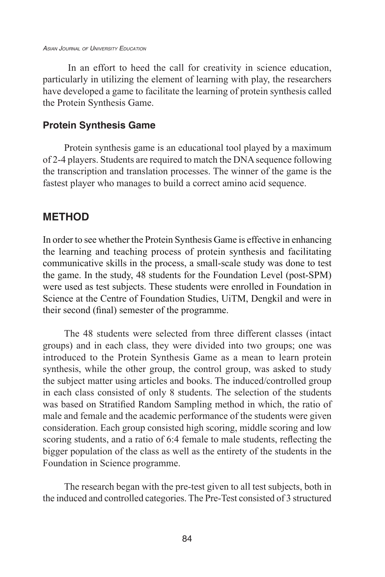#### *Asian Journal of University Education*

 In an effort to heed the call for creativity in science education, particularly in utilizing the element of learning with play, the researchers have developed a game to facilitate the learning of protein synthesis called the Protein Synthesis Game.

### **Protein Synthesis Game**

Protein synthesis game is an educational tool played by a maximum of 2-4 players. Students are required to match the DNA sequence following the transcription and translation processes. The winner of the game is the fastest player who manages to build a correct amino acid sequence.

## **METHOD**

In order to see whether the Protein Synthesis Game is effective in enhancing the learning and teaching process of protein synthesis and facilitating communicative skills in the process, a small-scale study was done to test the game. In the study, 48 students for the Foundation Level (post-SPM) were used as test subjects. These students were enrolled in Foundation in Science at the Centre of Foundation Studies, UiTM, Dengkil and were in their second (final) semester of the programme.

The 48 students were selected from three different classes (intact groups) and in each class, they were divided into two groups; one was introduced to the Protein Synthesis Game as a mean to learn protein synthesis, while the other group, the control group, was asked to study the subject matter using articles and books. The induced/controlled group in each class consisted of only 8 students. The selection of the students was based on Stratified Random Sampling method in which, the ratio of male and female and the academic performance of the students were given consideration. Each group consisted high scoring, middle scoring and low scoring students, and a ratio of 6:4 female to male students, reflecting the bigger population of the class as well as the entirety of the students in the Foundation in Science programme.

The research began with the pre-test given to all test subjects, both in the induced and controlled categories. The Pre-Test consisted of 3 structured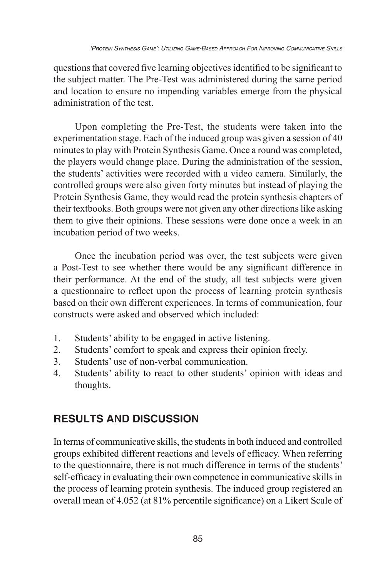questions that covered five learning objectives identified to be significant to the subject matter. The Pre-Test was administered during the same period and location to ensure no impending variables emerge from the physical administration of the test.

Upon completing the Pre-Test, the students were taken into the experimentation stage. Each of the induced group was given a session of 40 minutes to play with Protein Synthesis Game. Once a round was completed, the players would change place. During the administration of the session, the students' activities were recorded with a video camera. Similarly, the controlled groups were also given forty minutes but instead of playing the Protein Synthesis Game, they would read the protein synthesis chapters of their textbooks. Both groups were not given any other directions like asking them to give their opinions. These sessions were done once a week in an incubation period of two weeks.

Once the incubation period was over, the test subjects were given a Post-Test to see whether there would be any significant difference in their performance. At the end of the study, all test subjects were given a questionnaire to reflect upon the process of learning protein synthesis based on their own different experiences. In terms of communication, four constructs were asked and observed which included:

- 1. Students' ability to be engaged in active listening.
- 2. Students' comfort to speak and express their opinion freely.
- 3. Students' use of non-verbal communication.
- 4. Students' ability to react to other students' opinion with ideas and thoughts.

# **RESULTS AND DISCUSSION**

In terms of communicative skills, the students in both induced and controlled groups exhibited different reactions and levels of efficacy. When referring to the questionnaire, there is not much difference in terms of the students' self-efficacy in evaluating their own competence in communicative skills in the process of learning protein synthesis. The induced group registered an overall mean of 4.052 (at 81% percentile significance) on a Likert Scale of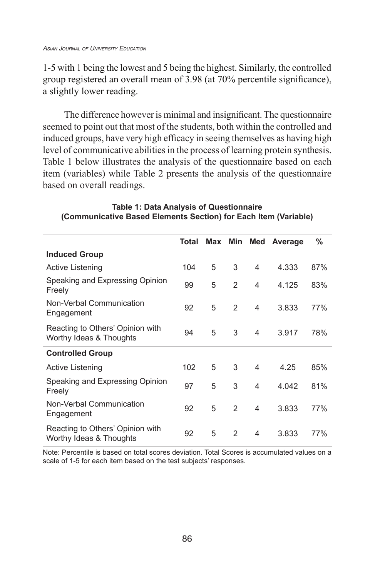1-5 with 1 being the lowest and 5 being the highest. Similarly, the controlled group registered an overall mean of 3.98 (at 70% percentile significance), a slightly lower reading.

The difference however is minimal and insignificant. The questionnaire seemed to point out that most of the students, both within the controlled and induced groups, have very high efficacy in seeing themselves as having high level of communicative abilities in the process of learning protein synthesis. Table 1 below illustrates the analysis of the questionnaire based on each item (variables) while Table 2 presents the analysis of the questionnaire based on overall readings.

|                                                             | Total | Max Min |               | Med            | Average | %   |
|-------------------------------------------------------------|-------|---------|---------------|----------------|---------|-----|
| <b>Induced Group</b>                                        |       |         |               |                |         |     |
| Active Listening                                            | 104   | 5       | 3             | 4              | 4.333   | 87% |
| Speaking and Expressing Opinion<br>Freely                   | 99    | 5       | 2             | 4              | 4.125   | 83% |
| Non-Verbal Communication<br>Engagement                      | 92    | 5       | 2             | $\overline{4}$ | 3.833   | 77% |
| Reacting to Others' Opinion with<br>Worthy Ideas & Thoughts | 94    | 5       | 3             | 4              | 3.917   | 78% |
| <b>Controlled Group</b>                                     |       |         |               |                |         |     |
| Active Listening                                            | 102   | 5       | 3             | 4              | 4.25    | 85% |
| Speaking and Expressing Opinion<br>Freely                   | 97    | 5       | 3             | 4              | 4.042   | 81% |
| Non-Verbal Communication<br>Engagement                      | 92    | 5       | 2             | 4              | 3.833   | 77% |
| Reacting to Others' Opinion with<br>Worthy Ideas & Thoughts | 92    | 5       | $\mathcal{P}$ | 4              | 3.833   | 77% |

**Table 1: Data Analysis of Questionnaire (Communicative Based Elements Section) for Each Item (Variable)**

Note: Percentile is based on total scores deviation. Total Scores is accumulated values on a scale of 1-5 for each item based on the test subjects' responses.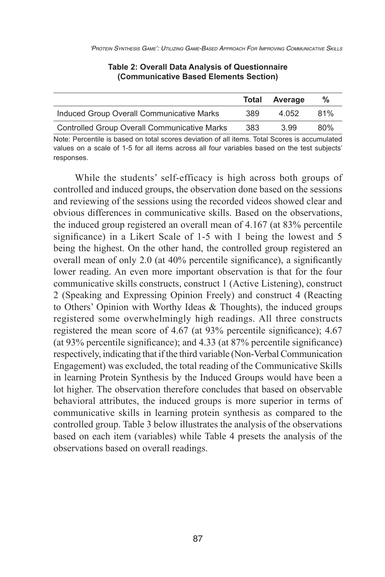|                                                     | Total | Average | %   |
|-----------------------------------------------------|-------|---------|-----|
| Induced Group Overall Communicative Marks           | 389   | 4.052   | 81% |
| <b>Controlled Group Overall Communicative Marks</b> | 383   | 3.99    | 80% |

#### **Table 2: Overall Data Analysis of Questionnaire (Communicative Based Elements Section)**

Note: Percentile is based on total scores deviation of all items. Total Scores is accumulated values on a scale of 1-5 for all items across all four variables based on the test subjects' responses.

While the students' self-efficacy is high across both groups of controlled and induced groups, the observation done based on the sessions and reviewing of the sessions using the recorded videos showed clear and obvious differences in communicative skills. Based on the observations, the induced group registered an overall mean of 4.167 (at 83% percentile significance) in a Likert Scale of 1-5 with 1 being the lowest and 5 being the highest. On the other hand, the controlled group registered an overall mean of only 2.0 (at 40% percentile significance), a significantly lower reading. An even more important observation is that for the four communicative skills constructs, construct 1 (Active Listening), construct 2 (Speaking and Expressing Opinion Freely) and construct 4 (Reacting to Others' Opinion with Worthy Ideas & Thoughts), the induced groups registered some overwhelmingly high readings. All three constructs registered the mean score of 4.67 (at 93% percentile significance); 4.67 (at 93% percentile significance); and 4.33 (at 87% percentile significance) respectively, indicating that if the third variable (Non-Verbal Communication Engagement) was excluded, the total reading of the Communicative Skills in learning Protein Synthesis by the Induced Groups would have been a lot higher. The observation therefore concludes that based on observable behavioral attributes, the induced groups is more superior in terms of communicative skills in learning protein synthesis as compared to the controlled group. Table 3 below illustrates the analysis of the observations based on each item (variables) while Table 4 presets the analysis of the observations based on overall readings.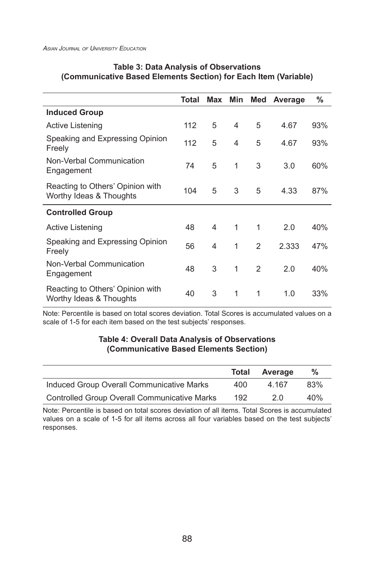|                                                             | Total | Max | Min            | Med | Average | %   |
|-------------------------------------------------------------|-------|-----|----------------|-----|---------|-----|
| <b>Induced Group</b>                                        |       |     |                |     |         |     |
| Active Listening                                            | 112   | 5   | 4              | 5   | 4.67    | 93% |
| Speaking and Expressing Opinion<br>Freely                   | 112   | 5   | $\overline{4}$ | 5   | 4.67    | 93% |
| Non-Verbal Communication<br>Engagement                      | 74    | 5   | 1              | 3   | 3.0     | 60% |
| Reacting to Others' Opinion with<br>Worthy Ideas & Thoughts | 104   | 5   | 3              | 5   | 4.33    | 87% |
| <b>Controlled Group</b>                                     |       |     |                |     |         |     |
| <b>Active Listening</b>                                     | 48    | 4   | 1              | 1   | 2.0     | 40% |
| Speaking and Expressing Opinion<br>Freely                   | 56    | 4   | 1              | 2   | 2.333   | 47% |
| Non-Verbal Communication<br>Engagement                      | 48    | 3   | $\mathbf{1}$   | 2   | 2.0     | 40% |
| Reacting to Others' Opinion with<br>Worthy Ideas & Thoughts | 40    | 3   | 1              | 1   | 1.0     | 33% |

#### **Table 3: Data Analysis of Observations (Communicative Based Elements Section) for Each Item (Variable)**

Note: Percentile is based on total scores deviation. Total Scores is accumulated values on a scale of 1-5 for each item based on the test subjects' responses.

#### **Table 4: Overall Data Analysis of Observations (Communicative Based Elements Section)**

|                                                     | Total | Average | %   |
|-----------------------------------------------------|-------|---------|-----|
| Induced Group Overall Communicative Marks           | 400   | 4.167   | 83% |
| <b>Controlled Group Overall Communicative Marks</b> | 192   | 2 O     | 40% |

Note: Percentile is based on total scores deviation of all items. Total Scores is accumulated values on a scale of 1-5 for all items across all four variables based on the test subjects' responses.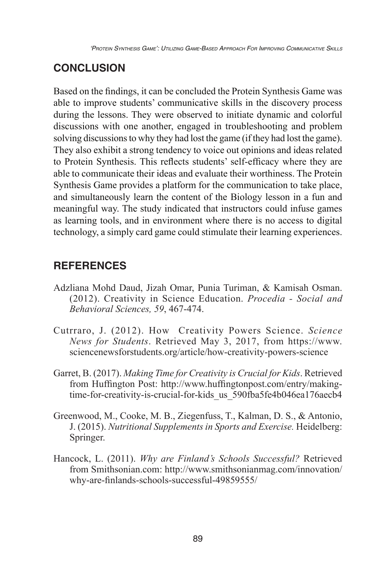# **CONCLUSION**

Based on the findings, it can be concluded the Protein Synthesis Game was able to improve students' communicative skills in the discovery process during the lessons. They were observed to initiate dynamic and colorful discussions with one another, engaged in troubleshooting and problem solving discussions to why they had lost the game (if they had lost the game). They also exhibit a strong tendency to voice out opinions and ideas related to Protein Synthesis. This reflects students' self-efficacy where they are able to communicate their ideas and evaluate their worthiness. The Protein Synthesis Game provides a platform for the communication to take place, and simultaneously learn the content of the Biology lesson in a fun and meaningful way. The study indicated that instructors could infuse games as learning tools, and in environment where there is no access to digital technology, a simply card game could stimulate their learning experiences.

# **REFERENCES**

- Adzliana Mohd Daud, Jizah Omar, Punia Turiman, & Kamisah Osman. (2012). Creativity in Science Education. *Procedia - Social and Behavioral Sciences, 59*, 467-474.
- Cutrraro, J. (2012). How Creativity Powers Science. *Science News for Students*. Retrieved May 3, 2017, from https://www. sciencenewsforstudents.org/article/how-creativity-powers-science
- Garret, B. (2017). *Making Time for Creativity is Crucial for Kids*. Retrieved from Huffington Post: http://www.huffingtonpost.com/entry/makingtime-for-creativity-is-crucial-for-kids\_us\_590fba5fe4b046ea176aecb4
- Greenwood, M., Cooke, M. B., Ziegenfuss, T., Kalman, D. S., & Antonio, J. (2015). *Nutritional Supplements in Sports and Exercise.* Heidelberg: Springer.
- Hancock, L. (2011). *Why are Finland's Schools Successful?* Retrieved from Smithsonian.com: http://www.smithsonianmag.com/innovation/ why-are-finlands-schools-successful-49859555/